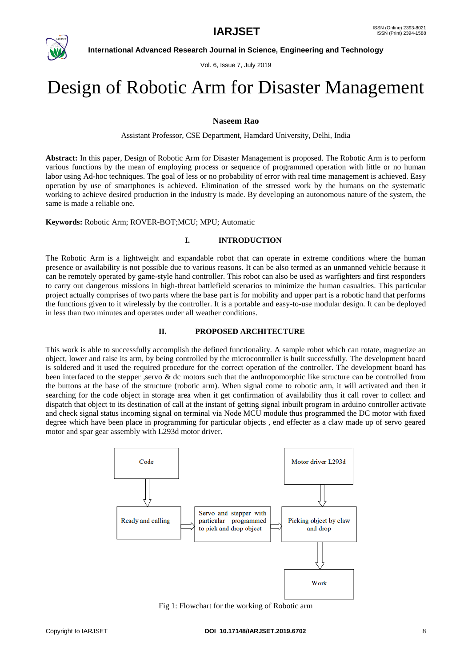

**International Advanced Research Journal in Science, Engineering and Technology**

Vol. 6, Issue 7, July 2019

# Design of Robotic Arm for Disaster Management

# **Naseem Rao**

Assistant Professor, CSE Department, Hamdard University, Delhi, India

**Abstract:** In this paper, Design of Robotic Arm for Disaster Management is proposed. The Robotic Arm is to perform various functions by the mean of employing process or sequence of programmed operation with little or no human labor using Ad-hoc techniques. The goal of less or no probability of error with real time management is achieved. Easy operation by use of smartphones is achieved. Elimination of the stressed work by the humans on the systematic working to achieve desired production in the industry is made. By developing an autonomous nature of the system, the same is made a reliable one.

**Keywords:** Robotic Arm; ROVER-BOT;MCU; MPU; Automatic

# **I. INTRODUCTION**

The Robotic Arm is a lightweight and expandable robot that can operate in extreme conditions where the human presence or availability is not possible due to various reasons. It can be also termed as an unmanned vehicle because it can be remotely operated by game-style hand controller. This robot can also be used as warfighters and first responders to carry out dangerous missions in high-threat battlefield scenarios to minimize the human casualties. This particular project actually comprises of two parts where the base part is for mobility and upper part is a robotic hand that performs the functions given to it wirelessly by the controller. It is a portable and easy-to-use modular design. It can be deployed in less than two minutes and operates under all weather conditions.

# **II. PROPOSED ARCHITECTURE**

This work is able to successfully accomplish the defined functionality. A sample robot which can rotate, magnetize an object, lower and raise its arm, by being controlled by the microcontroller is built successfully. The development board is soldered and it used the required procedure for the correct operation of the controller. The development board has been interfaced to the stepper ,servo & dc motors such that the anthropomorphic like structure can be controlled from the buttons at the base of the structure (robotic arm). When signal come to robotic arm, it will activated and then it searching for the code object in storage area when it get confirmation of availability thus it call rover to collect and dispatch that object to its destination of call at the instant of getting signal inbuilt program in arduino controller activate and check signal status incoming signal on terminal via Node MCU module thus programmed the DC motor with fixed degree which have been place in programming for particular objects , end effecter as a claw made up of servo geared motor and spar gear assembly with L293d motor driver.



Fig 1: Flowchart for the working of Robotic arm